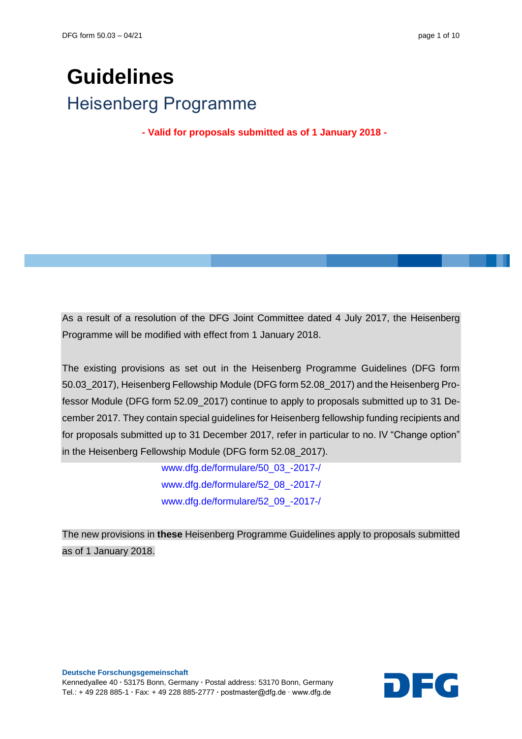# **Guidelines** Heisenberg Programme

**- Valid for proposals submitted as of 1 January 2018 -**

As a result of a resolution of the DFG Joint Committee dated 4 July 2017, the Heisenberg Programme will be modified with effect from 1 January 2018.

The existing provisions as set out in the Heisenberg Programme Guidelines (DFG form 50.03\_2017), Heisenberg Fellowship Module (DFG form 52.08\_2017) and the Heisenberg Professor Module (DFG form 52.09\_2017) continue to apply to proposals submitted up to 31 December 2017. They contain special guidelines for Heisenberg fellowship funding recipients and for proposals submitted up to 31 December 2017, refer in particular to no. IV "Change option" in the Heisenberg Fellowship Module (DFG form 52.08\_2017).

> [www.dfg.de/formulare/50\\_03\\_-2017-/](http://www.dfg.de/formulare/50_03_-2017-/) [www.dfg.de/formulare/52\\_08\\_-2017-/](http://www.dfg.de/formulare/52_08_-2017-/) [www.dfg.de/formulare/52\\_09\\_-2017-/](http://www.dfg.de/formulare/52_09_-2017-/)

The new provisions in **these** Heisenberg Programme Guidelines apply to proposals submitted as of 1 January 2018.

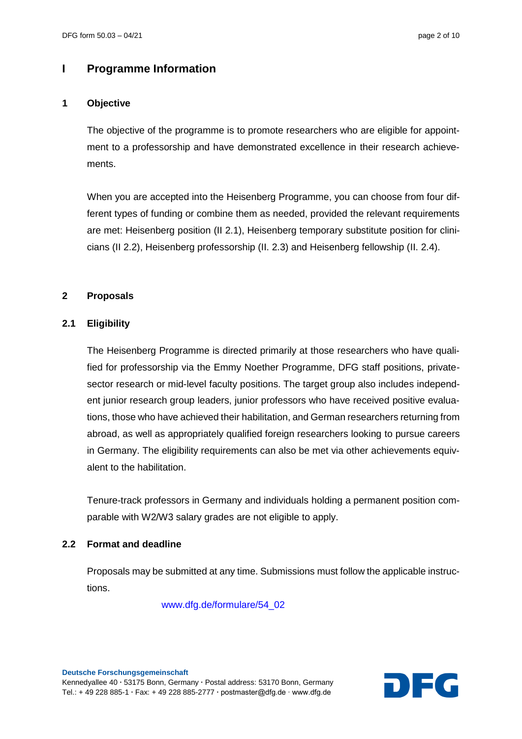# **I Programme Information**

## **1 Objective**

The objective of the programme is to promote researchers who are eligible for appointment to a professorship and have demonstrated excellence in their research achievements.

When you are accepted into the Heisenberg Programme, you can choose from four different types of funding or combine them as needed, provided the relevant requirements are met: Heisenberg position (II 2.1), Heisenberg temporary substitute position for clinicians (II 2.2), Heisenberg professorship (II. 2.3) and Heisenberg fellowship (II. 2.4).

#### **2 Proposals**

# **2.1 Eligibility**

The Heisenberg Programme is directed primarily at those researchers who have qualified for professorship via the Emmy Noether Programme, DFG staff positions, privatesector research or mid-level faculty positions. The target group also includes independent junior research group leaders, junior professors who have received positive evaluations, those who have achieved their habilitation, and German researchers returning from abroad, as well as appropriately qualified foreign researchers looking to pursue careers in Germany. The eligibility requirements can also be met via other achievements equivalent to the habilitation.

Tenure-track professors in Germany and individuals holding a permanent position comparable with W2/W3 salary grades are not eligible to apply.

#### **2.2 Format and deadline**

Proposals may be submitted at any time. Submissions must follow the applicable instructions.

[www.dfg.de/formulare/54\\_02](http://www.dfg.de/formulare/54_02)

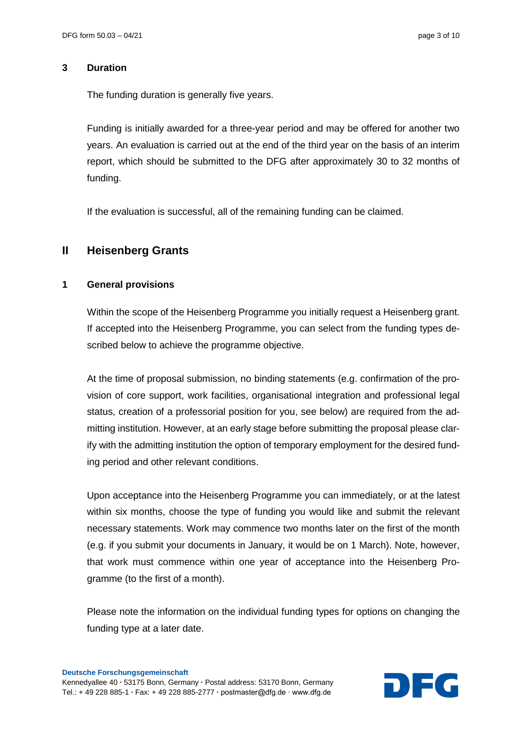#### **3 Duration**

The funding duration is generally five years.

Funding is initially awarded for a three-year period and may be offered for another two years. An evaluation is carried out at the end of the third year on the basis of an interim report, which should be submitted to the DFG after approximately 30 to 32 months of funding.

If the evaluation is successful, all of the remaining funding can be claimed.

# **II Heisenberg Grants**

# **1 General provisions**

Within the scope of the Heisenberg Programme you initially request a Heisenberg grant. If accepted into the Heisenberg Programme, you can select from the funding types described below to achieve the programme objective.

At the time of proposal submission, no binding statements (e.g. confirmation of the provision of core support, work facilities, organisational integration and professional legal status, creation of a professorial position for you, see below) are required from the admitting institution. However, at an early stage before submitting the proposal please clarify with the admitting institution the option of temporary employment for the desired funding period and other relevant conditions.

Upon acceptance into the Heisenberg Programme you can immediately, or at the latest within six months, choose the type of funding you would like and submit the relevant necessary statements. Work may commence two months later on the first of the month (e.g. if you submit your documents in January, it would be on 1 March). Note, however, that work must commence within one year of acceptance into the Heisenberg Programme (to the first of a month).

Please note the information on the individual funding types for options on changing the funding type at a later date.

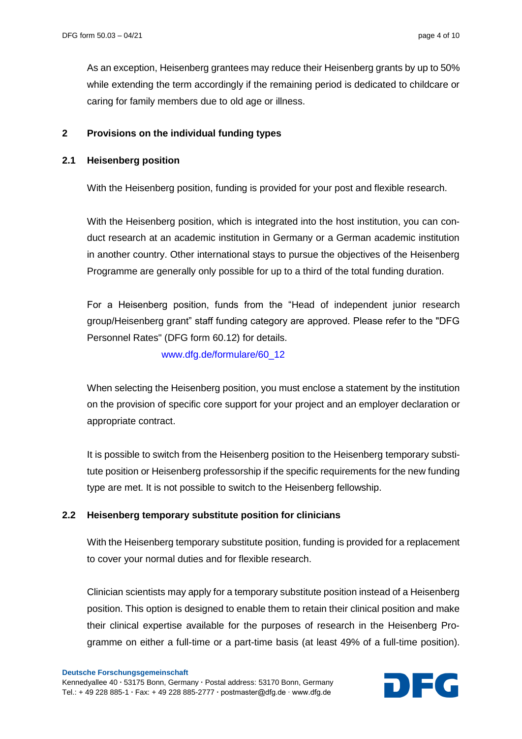As an exception, Heisenberg grantees may reduce their Heisenberg grants by up to 50% while extending the term accordingly if the remaining period is dedicated to childcare or caring for family members due to old age or illness.

#### **2 Provisions on the individual funding types**

#### **2.1 Heisenberg position**

With the Heisenberg position, funding is provided for your post and flexible research.

With the Heisenberg position, which is integrated into the host institution, you can conduct research at an academic institution in Germany or a German academic institution in another country. Other international stays to pursue the objectives of the Heisenberg Programme are generally only possible for up to a third of the total funding duration.

For a Heisenberg position, funds from the "Head of independent junior research group/Heisenberg grant" staff funding category are approved. Please refer to the "DFG Personnel Rates" (DFG form 60.12) for details.

[www.dfg.de/formulare/60\\_12](http://www.dfg.de/formulare/60_12/)

When selecting the Heisenberg position, you must enclose a statement by the institution on the provision of specific core support for your project and an employer declaration or appropriate contract.

It is possible to switch from the Heisenberg position to the Heisenberg temporary substitute position or Heisenberg professorship if the specific requirements for the new funding type are met. It is not possible to switch to the Heisenberg fellowship.

#### **2.2 Heisenberg temporary substitute position for clinicians**

With the Heisenberg temporary substitute position, funding is provided for a replacement to cover your normal duties and for flexible research.

Clinician scientists may apply for a temporary substitute position instead of a Heisenberg position. This option is designed to enable them to retain their clinical position and make their clinical expertise available for the purposes of research in the Heisenberg Programme on either a full-time or a part-time basis (at least 49% of a full-time position).

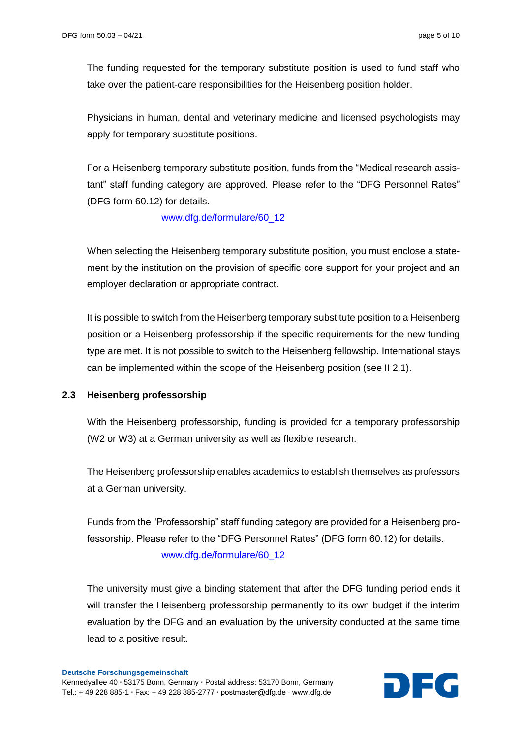The funding requested for the temporary substitute position is used to fund staff who take over the patient-care responsibilities for the Heisenberg position holder.

Physicians in human, dental and veterinary medicine and licensed psychologists may apply for temporary substitute positions.

For a Heisenberg temporary substitute position, funds from the "Medical research assistant" staff funding category are approved. Please refer to the "DFG Personnel Rates" (DFG form 60.12) for details.

[www.dfg.de/formulare/60\\_12](http://www.dfg.de/formulare/60_12)

When selecting the Heisenberg temporary substitute position, you must enclose a statement by the institution on the provision of specific core support for your project and an employer declaration or appropriate contract.

It is possible to switch from the Heisenberg temporary substitute position to a Heisenberg position or a Heisenberg professorship if the specific requirements for the new funding type are met. It is not possible to switch to the Heisenberg fellowship. International stays can be implemented within the scope of the Heisenberg position (see II 2.1).

#### **2.3 Heisenberg professorship**

With the Heisenberg professorship, funding is provided for a temporary professorship (W2 or W3) at a German university as well as flexible research.

The Heisenberg professorship enables academics to establish themselves as professors at a German university.

Funds from the "Professorship" staff funding category are provided for a Heisenberg professorship. Please refer to the "DFG Personnel Rates" (DFG form 60.12) for details. [www.dfg.de/formulare/60\\_12](http://www.dfg.de/formulare/60_12)

The university must give a binding statement that after the DFG funding period ends it will transfer the Heisenberg professorship permanently to its own budget if the interim evaluation by the DFG and an evaluation by the university conducted at the same time lead to a positive result.

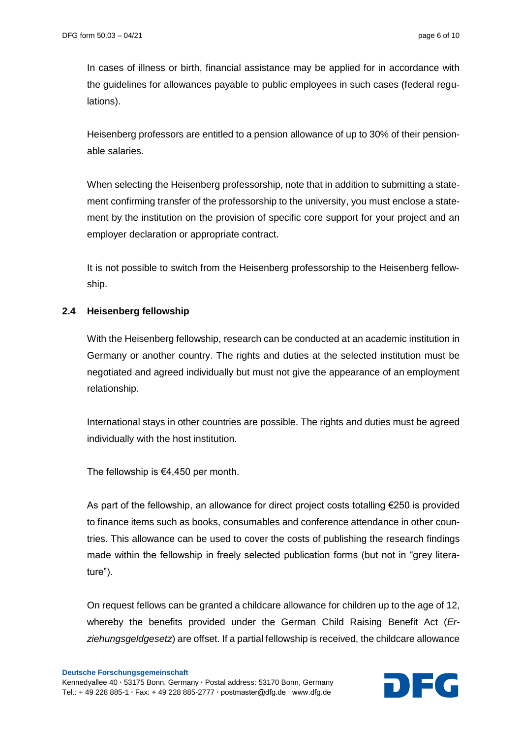In cases of illness or birth, financial assistance may be applied for in accordance with the guidelines for allowances payable to public employees in such cases (federal regulations).

Heisenberg professors are entitled to a pension allowance of up to 30% of their pensionable salaries.

When selecting the Heisenberg professorship, note that in addition to submitting a statement confirming transfer of the professorship to the university, you must enclose a statement by the institution on the provision of specific core support for your project and an employer declaration or appropriate contract.

It is not possible to switch from the Heisenberg professorship to the Heisenberg fellowship.

# **2.4 Heisenberg fellowship**

With the Heisenberg fellowship, research can be conducted at an academic institution in Germany or another country. The rights and duties at the selected institution must be negotiated and agreed individually but must not give the appearance of an employment relationship.

International stays in other countries are possible. The rights and duties must be agreed individually with the host institution.

The fellowship is €4,450 per month.

As part of the fellowship, an allowance for direct project costs totalling €250 is provided to finance items such as books, consumables and conference attendance in other countries. This allowance can be used to cover the costs of publishing the research findings made within the fellowship in freely selected publication forms (but not in "grey literature").

On request fellows can be granted a childcare allowance for children up to the age of 12, whereby the benefits provided under the German Child Raising Benefit Act (*Erziehungsgeldgesetz*) are offset. If a partial fellowship is received, the childcare allowance

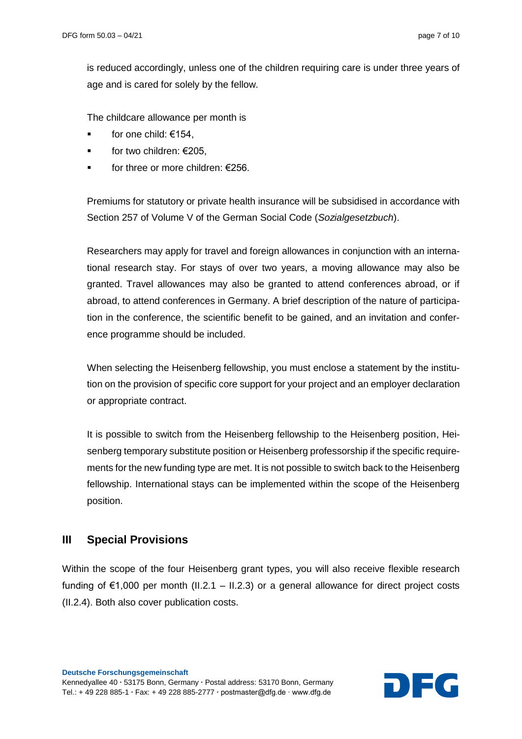is reduced accordingly, unless one of the children requiring care is under three years of age and is cared for solely by the fellow.

The childcare allowance per month is

- for one child: €154,
- for two children: €205,
- for three or more children: €256.

Premiums for statutory or private health insurance will be subsidised in accordance with Section 257 of Volume V of the German Social Code (*Sozialgesetzbuch*).

Researchers may apply for travel and foreign allowances in conjunction with an international research stay. For stays of over two years, a moving allowance may also be granted. Travel allowances may also be granted to attend conferences abroad, or if abroad, to attend conferences in Germany. A brief description of the nature of participation in the conference, the scientific benefit to be gained, and an invitation and conference programme should be included.

When selecting the Heisenberg fellowship, you must enclose a statement by the institution on the provision of specific core support for your project and an employer declaration or appropriate contract.

It is possible to switch from the Heisenberg fellowship to the Heisenberg position, Heisenberg temporary substitute position or Heisenberg professorship if the specific requirements for the new funding type are met. It is not possible to switch back to the Heisenberg fellowship. International stays can be implemented within the scope of the Heisenberg position.

# **III Special Provisions**

Within the scope of the four Heisenberg grant types, you will also receive flexible research funding of  $\epsilon$ 1,000 per month (II.2.1 – II.2.3) or a general allowance for direct project costs (II.2.4). Both also cover publication costs.

**Deutsche Forschungsgemeinschaft** Kennedyallee 40 **∙** 53175 Bonn, Germany **∙** Postal address: 53170 Bonn, Germany **Deutsche Forschungsgemeinschaft<br>Kennedyallee 40 • 53175 Bonn, Germany • Postal address: 53170 Bonn, Germany<br>Tel.: + 49 228 885-1 • Fax: + 49 228 885-2777 • postmaster@dfg.de ∙ www.dfg.de** 

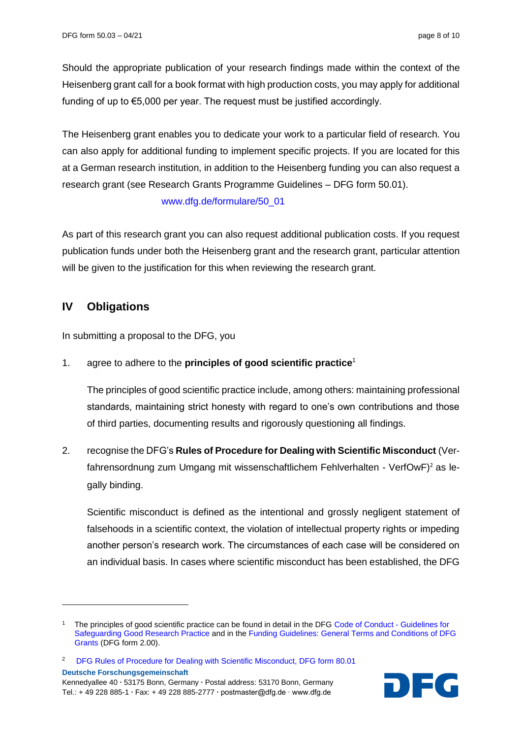Should the appropriate publication of your research findings made within the context of the Heisenberg grant call for a book format with high production costs, you may apply for additional funding of up to €5,000 per year. The request must be justified accordingly.

The Heisenberg grant enables you to dedicate your work to a particular field of research. You can also apply for additional funding to implement specific projects. If you are located for this at a German research institution, in addition to the Heisenberg funding you can also request a research grant (see Research Grants Programme Guidelines – DFG form 50.01).

#### [www.dfg.de/formulare/50\\_01](http://www.dfg.de/formulare/50_01)

As part of this research grant you can also request additional publication costs. If you request publication funds under both the Heisenberg grant and the research grant, particular attention will be given to the justification for this when reviewing the research grant.

# **IV Obligations**

 $\overline{\phantom{a}}$ 

In submitting a proposal to the DFG, you

# 1. agree to adhere to the **principles of good scientific practice**<sup>1</sup>

The principles of good scientific practice include, among others: maintaining professional standards, maintaining strict honesty with regard to one's own contributions and those of third parties, documenting results and rigorously questioning all findings.

2. recognise the DFG's **Rules of Procedure for Dealing with Scientific Misconduct** (Verfahrensordnung zum Umgang mit wissenschaftlichem Fehlverhalten - VerfOwF)<sup>2</sup> as legally binding.

Scientific misconduct is defined as the intentional and grossly negligent statement of falsehoods in a scientific context, the violation of intellectual property rights or impeding another person's research work. The circumstances of each case will be considered on an individual basis. In cases where scientific misconduct has been established, the DFG



<sup>&</sup>lt;sup>1</sup> The principles of good scientific practice can be found in detail in the DFG [Code of Conduct -](https://www.dfg.de/en/research_funding/principles_dfg_funding/good_scientific_practice/index.html) Guidelines for [Safeguarding Good Research Practice](https://www.dfg.de/en/research_funding/principles_dfg_funding/good_scientific_practice/index.html) and in th[e Funding Guidelines: General Terms and Conditions of DFG](http://www.dfg.de/formulare/2_00/)  [Grants](http://www.dfg.de/formulare/2_00/) (DFG form 2.00).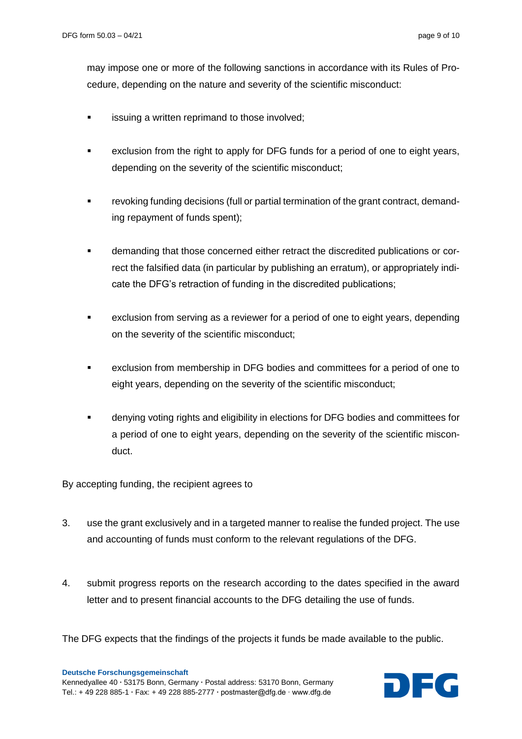may impose one or more of the following sanctions in accordance with its Rules of Procedure, depending on the nature and severity of the scientific misconduct:

- issuing a written reprimand to those involved;
- exclusion from the right to apply for DFG funds for a period of one to eight years, depending on the severity of the scientific misconduct;
- revoking funding decisions (full or partial termination of the grant contract, demanding repayment of funds spent);
- demanding that those concerned either retract the discredited publications or correct the falsified data (in particular by publishing an erratum), or appropriately indicate the DFG's retraction of funding in the discredited publications;
- exclusion from serving as a reviewer for a period of one to eight years, depending on the severity of the scientific misconduct;
- exclusion from membership in DFG bodies and committees for a period of one to eight years, depending on the severity of the scientific misconduct;
- denying voting rights and eligibility in elections for DFG bodies and committees for a period of one to eight years, depending on the severity of the scientific misconduct.

By accepting funding, the recipient agrees to

- 3. use the grant exclusively and in a targeted manner to realise the funded project. The use and accounting of funds must conform to the relevant regulations of the DFG.
- 4. submit progress reports on the research according to the dates specified in the award letter and to present financial accounts to the DFG detailing the use of funds.

The DFG expects that the findings of the projects it funds be made available to the public.